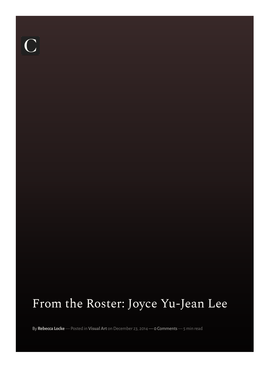# $\overline{C}$

## From the Roster: Joyce Yu-Jean Lee

By **[Rebecca](https://www.curatormagazine.com/author/rebecca-locke/) Locke** — Posted in **[Visual](https://www.curatormagazine.com/category/visualart/) Art** on December 23, 2014 — 0 Comments — 5 min read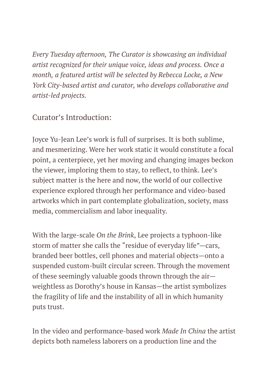*Every Tuesday afternoon, The Curator is showcasing an individual artist recognized for their unique voice, ideas and process. Once a month, a featured artist will be selected by Rebecca Locke, a New York City-based artist and curator, who develops collaborative and artist-led projects.*

### Curator's Introduction:

Joyce Yu-Jean Lee's work is full of surprises. It is both sublime, and mesmerizing. Were her work static it would constitute a focal point, a centerpiece, yet her moving and changing images beckon the viewer, imploring them to stay, to reflect, to think. Lee's subject matter is the here and now, the world of our collective experience explored through her performance and video-based artworks which in part contemplate globalization, society, mass media, commercialism and labor inequality.

With the large-scale *On the Brink*, Lee projects a typhoon-like storm of matter she calls the "residue of everyday life"—cars, branded beer bottles, cell phones and material objects—onto a suspended custom-built circular screen. Through the movement of these seemingly valuable goods thrown through the air weightless as Dorothy's house in Kansas—the artist symbolizes the fragility of life and the instability of all in which humanity puts trust.

In the video and performance-based work *Made In China* the artist depicts both nameless laborers on a production line and the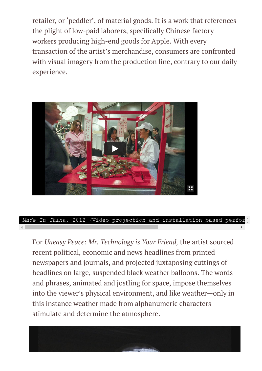retailer, or 'peddler', of material goods. It is a work that references the plight of low-paid laborers, specifically Chinese factory workers producing high-end goods for Apple. With every transaction of the artist's merchandise, consumers are confronted with visual imagery from the production line, contrary to our daily experience.



*Made In China,* 2012 (Video projection and installation based perfor

For *Uneasy Peace: Mr. Technology is Your Friend,* the artist sourced recent political, economic and news headlines from printed newspapers and journals, and projected juxtaposing cuttings of headlines on large, suspended black weather balloons. The words and phrases, animated and jostling for space, impose themselves into the viewer's physical environment, and like weather—only in this instance weather made from alphanumeric characters stimulate and determine the atmosphere.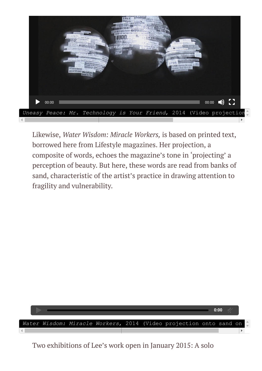

Likewise, *Water Wisdom: Miracle Workers,* is based on printed text, borrowed here from Lifestyle magazines. Her projection, a composite of words, echoes the magazine's tone in 'projecting' a perception of beauty. But here, these words are read from banks of sand, characteristic of the artist's practice in drawing attention to fragility and vulnerability.



Two exhibitions of Lee's work open in January 2015: A solo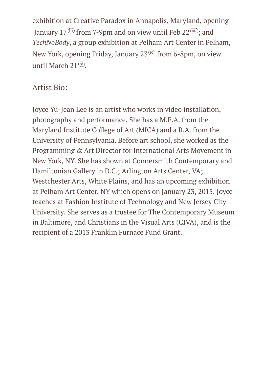exhibition at Creative Paradox in Annapolis, Maryland, opening January 17<sup> $(h)$ </sup> from 7-9pm and on view until Feb 22 $(h)$ ; and *TechNoBody*, a group exhibition at Pelham Art Center in Pelham, New York, opening Friday, January  $23<sup>(d)</sup>$  from 6-8pm, on view until March  $21<sup>(st)</sup>$ .

### Artist Bio:

Joyce Yu-Jean Lee is an artist who works in video installation, photography and performance. She has a M.F.A. from the Maryland Institute College of Art (MICA) and a B.A. from the University of Pennsylvania. Before art school, she worked as the Programming & Art Director for International Arts Movement in New York, NY. She has shown at Connersmith Contemporary and Hamiltonian Gallery in D.C.; Arlington Arts Center, VA; Westchester Arts, White Plains, and has an upcoming exhibition at Pelham Art Center, NY which opens on January 23, 2015. Joyce teaches at Fashion Institute of Technology and New Jersey City University. She serves as a trustee for The Contemporary Museum in Baltimore, and Christians in the Visual Arts (CIVA), and is the recipient of a 2013 Franklin Furnace Fund Grant.